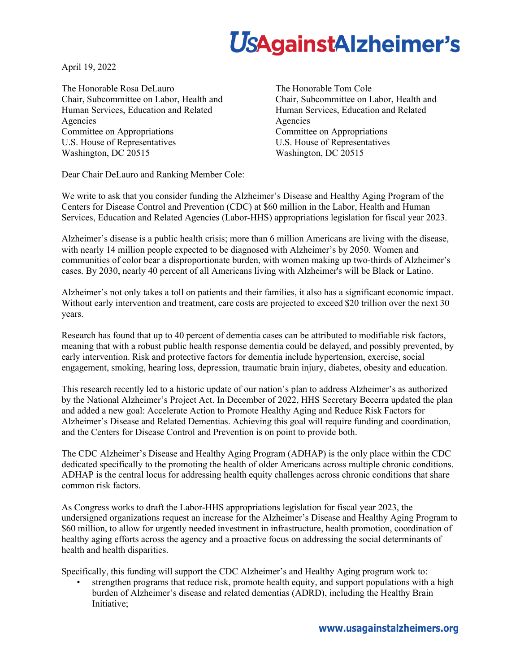## **UsAgainstAlzheimer's**

April 19, 2022

The Honorable Rosa DeLauro Chair, Subcommittee on Labor, Health and Human Services, Education and Related Agencies Committee on Appropriations U.S. House of Representatives Washington, DC 20515

The Honorable Tom Cole Chair, Subcommittee on Labor, Health and Human Services, Education and Related Agencies Committee on Appropriations U.S. House of Representatives Washington, DC 20515

Dear Chair DeLauro and Ranking Member Cole:

We write to ask that you consider funding the Alzheimer's Disease and Healthy Aging Program of the Centers for Disease Control and Prevention (CDC) at \$60 million in the Labor, Health and Human Services, Education and Related Agencies (Labor-HHS) appropriations legislation for fiscal year 2023.

Alzheimer's disease is a public health crisis; more than 6 million Americans are living with the disease, with nearly 14 million people expected to be diagnosed with Alzheimer's by 2050. Women and communities of color bear a disproportionate burden, with women making up two-thirds of Alzheimer's cases. By 2030, nearly 40 percent of all Americans living with Alzheimer's will be Black or Latino.

Alzheimer's not only takes a toll on patients and their families, it also has a significant economic impact. Without early intervention and treatment, care costs are projected to exceed \$20 trillion over the next 30 years.

Research has found that up to 40 percent of dementia cases can be attributed to modifiable risk factors, meaning that with a robust public health response dementia could be delayed, and possibly prevented, by early intervention. Risk and protective factors for dementia include hypertension, exercise, social engagement, smoking, hearing loss, depression, traumatic brain injury, diabetes, obesity and education.

This research recently led to a historic update of our nation's plan to address Alzheimer's as authorized by the National Alzheimer's Project Act. In December of 2022, HHS Secretary Becerra updated the plan and added a new goal: Accelerate Action to Promote Healthy Aging and Reduce Risk Factors for Alzheimer's Disease and Related Dementias. Achieving this goal will require funding and coordination, and the Centers for Disease Control and Prevention is on point to provide both.

The CDC Alzheimer's Disease and Healthy Aging Program (ADHAP) is the only place within the CDC dedicated specifically to the promoting the health of older Americans across multiple chronic conditions. ADHAP is the central locus for addressing health equity challenges across chronic conditions that share common risk factors.

As Congress works to draft the Labor-HHS appropriations legislation for fiscal year 2023, the undersigned organizations request an increase for the Alzheimer's Disease and Healthy Aging Program to \$60 million, to allow for urgently needed investment in infrastructure, health promotion, coordination of healthy aging efforts across the agency and a proactive focus on addressing the social determinants of health and health disparities.

Specifically, this funding will support the CDC Alzheimer's and Healthy Aging program work to:

• strengthen programs that reduce risk, promote health equity, and support populations with a high burden of Alzheimer's disease and related dementias (ADRD), including the Healthy Brain Initiative;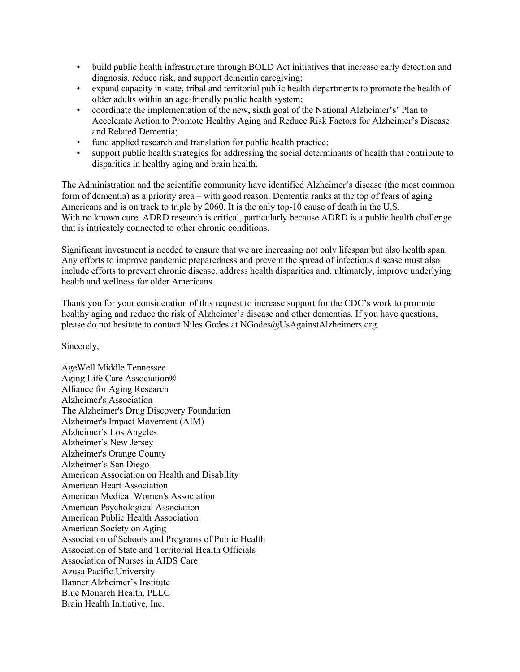- build public health infrastructure through BOLD Act initiatives that increase early detection and diagnosis, reduce risk, and support dementia caregiving;
- expand capacity in state, tribal and territorial public health departments to promote the health of older adults within an age-friendly public health system;
- coordinate the implementation of the new, sixth goal of the National Alzheimer's' Plan to Accelerate Action to Promote Healthy Aging and Reduce Risk Factors for Alzheimer's Disease and Related Dementia;
- fund applied research and translation for public health practice;
- support public health strategies for addressing the social determinants of health that contribute to disparities in healthy aging and brain health.

The Administration and the scientific community have identified Alzheimer's disease (the most common form of dementia) as a priority area – with good reason. Dementia ranks at the top of fears of aging Americans and is on track to triple by 2060. It is the only top-10 cause of death in the U.S. With no known cure. ADRD research is critical, particularly because ADRD is a public health challenge that is intricately connected to other chronic conditions.

Significant investment is needed to ensure that we are increasing not only lifespan but also health span. Any efforts to improve pandemic preparedness and prevent the spread of infectious disease must also include efforts to prevent chronic disease, address health disparities and, ultimately, improve underlying health and wellness for older Americans.

Thank you for your consideration of this request to increase support for the CDC's work to promote healthy aging and reduce the risk of Alzheimer's disease and other dementias. If you have questions, please do not hesitate to contact Niles Godes at NGodes@UsAgainstAlzheimers.org.

Sincerely,

AgeWell Middle Tennessee Aging Life Care Association® Alliance for Aging Research Alzheimer's Association The Alzheimer's Drug Discovery Foundation Alzheimer's Impact Movement (AIM) Alzheimer's Los Angeles Alzheimer's New Jersey Alzheimer's Orange County Alzheimer's San Diego American Association on Health and Disability American Heart Association American Medical Women's Association American Psychological Association American Public Health Association American Society on Aging Association of Schools and Programs of Public Health Association of State and Territorial Health Officials Association of Nurses in AIDS Care Azusa Pacific University Banner Alzheimer's Institute Blue Monarch Health, PLLC Brain Health Initiative, Inc.